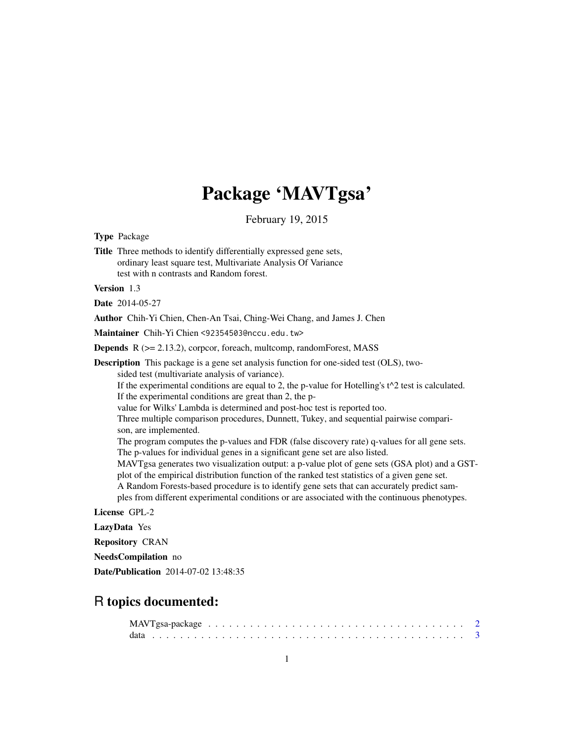## Package 'MAVTgsa'

February 19, 2015

Type Package

Title Three methods to identify differentially expressed gene sets, ordinary least square test, Multivariate Analysis Of Variance test with n contrasts and Random forest.

Version 1.3

Date 2014-05-27

Author Chih-Yi Chien, Chen-An Tsai, Ching-Wei Chang, and James J. Chen

Maintainer Chih-Yi Chien <92354503@nccu.edu.tw>

Depends R (>= 2.13.2), corpcor, foreach, multcomp, randomForest, MASS

Description This package is a gene set analysis function for one-sided test (OLS), twosided test (multivariate analysis of variance). If the experimental conditions are equal to 2, the p-value for Hotelling's  $t^2$  test is calculated. If the experimental conditions are great than 2, the pvalue for Wilks' Lambda is determined and post-hoc test is reported too. Three multiple comparison procedures, Dunnett, Tukey, and sequential pairwise comparison, are implemented. The program computes the p-values and FDR (false discovery rate) q-values for all gene sets. The p-values for individual genes in a significant gene set are also listed. MAVTgsa generates two visualization output: a p-value plot of gene sets (GSA plot) and a GSTplot of the empirical distribution function of the ranked test statistics of a given gene set. A Random Forests-based procedure is to identify gene sets that can accurately predict samples from different experimental conditions or are associated with the continuous phenotypes. License GPL-2

LazyData Yes

Repository CRAN

NeedsCompilation no

Date/Publication 2014-07-02 13:48:35

### R topics documented: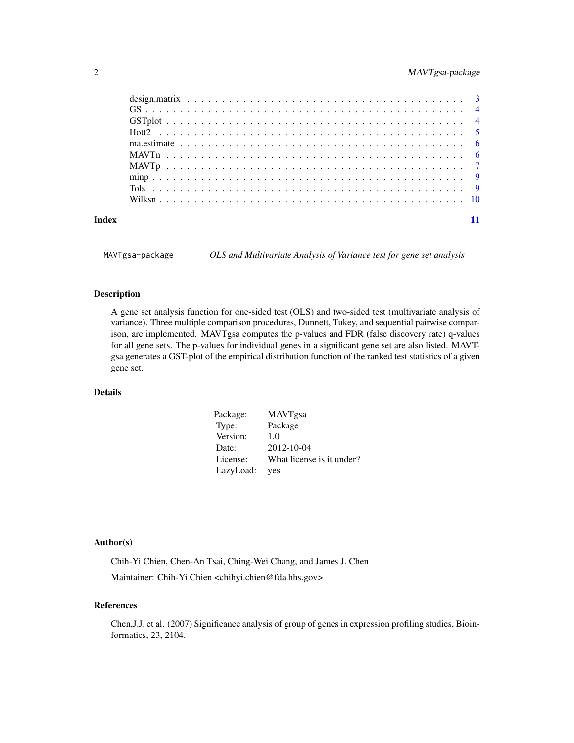#### <span id="page-1-0"></span>2 MAVTgsa-package

| Index |  |  |  |  |  |  |  |  |  |  |  |  |  |  |  |  |  |  |
|-------|--|--|--|--|--|--|--|--|--|--|--|--|--|--|--|--|--|--|

MAVTgsa-package *OLS and Multivariate Analysis of Variance test for gene set analysis*

#### Description

A gene set analysis function for one-sided test (OLS) and two-sided test (multivariate analysis of variance). Three multiple comparison procedures, Dunnett, Tukey, and sequential pairwise comparison, are implemented. MAVTgsa computes the p-values and FDR (false discovery rate) q-values for all gene sets. The p-values for individual genes in a significant gene set are also listed. MAVTgsa generates a GST-plot of the empirical distribution function of the ranked test statistics of a given gene set.

#### Details

| Package:  | <b>MAVTgsa</b>            |
|-----------|---------------------------|
| Type:     | Package                   |
| Version:  | 1.0                       |
| Date:     | $2012 - 10 - 04$          |
| License:  | What license is it under? |
| LazyLoad: | yes                       |

#### Author(s)

Chih-Yi Chien, Chen-An Tsai, Ching-Wei Chang, and James J. Chen Maintainer: Chih-Yi Chien <chihyi.chien@fda.hhs.gov>

#### References

Chen,J.J. et al. (2007) Significance analysis of group of genes in expression profiling studies, Bioinformatics, 23, 2104.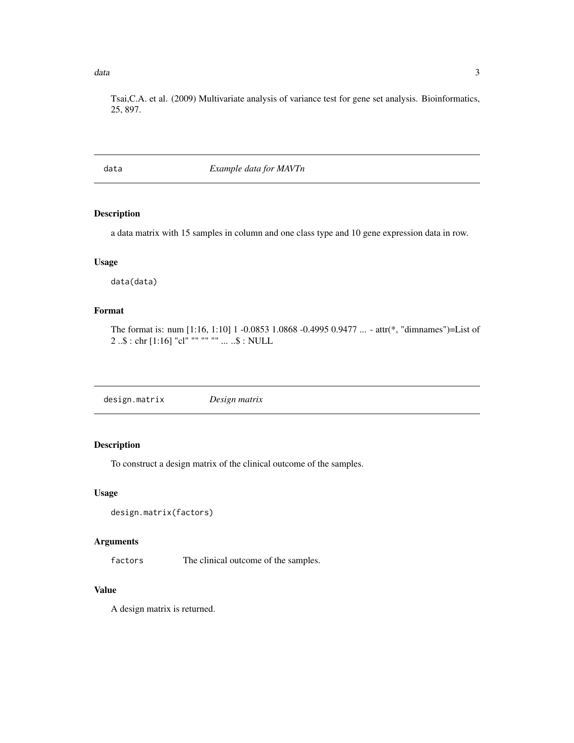#### <span id="page-2-0"></span> $data$  3

Tsai,C.A. et al. (2009) Multivariate analysis of variance test for gene set analysis. Bioinformatics, 25, 897.

#### data *Example data for MAVTn*

#### Description

a data matrix with 15 samples in column and one class type and 10 gene expression data in row.

#### Usage

data(data)

#### Format

The format is: num [1:16, 1:10] 1 -0.0853 1.0868 -0.4995 0.9477 ... - attr(\*, "dimnames")=List of 2 ..\$ : chr [1:16] "cl" "" "" "" ... ..\$ : NULL

design.matrix *Design matrix*

#### Description

To construct a design matrix of the clinical outcome of the samples.

#### Usage

```
design.matrix(factors)
```
#### Arguments

factors The clinical outcome of the samples.

#### Value

A design matrix is returned.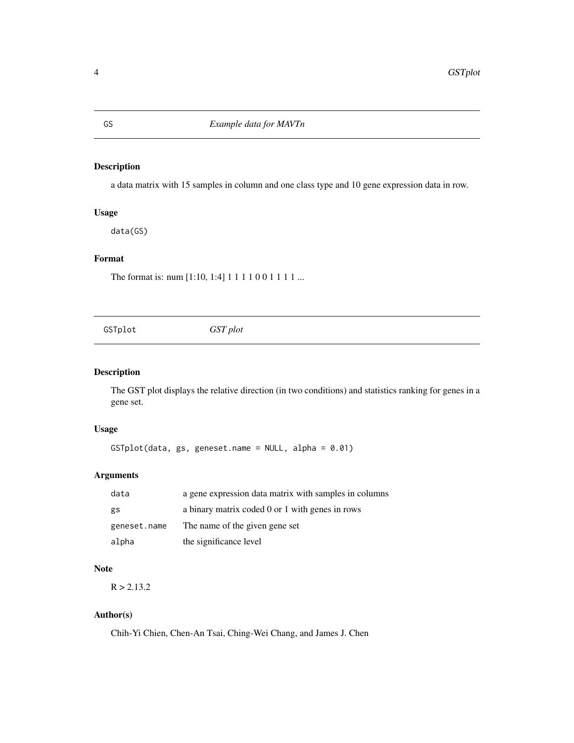#### Description

a data matrix with 15 samples in column and one class type and 10 gene expression data in row.

#### Usage

data(GS)

#### Format

The format is: num [1:10, 1:4] 1 1 1 1 0 0 1 1 1 1 ...

|  | GSTplot | GST plot |  |  |
|--|---------|----------|--|--|
|--|---------|----------|--|--|

#### Description

The GST plot displays the relative direction (in two conditions) and statistics ranking for genes in a gene set.

#### Usage

GSTplot(data, gs, geneset.name = NULL, alpha = 0.01)

#### Arguments

| data         | a gene expression data matrix with samples in columns |
|--------------|-------------------------------------------------------|
| gs           | a binary matrix coded 0 or 1 with genes in rows       |
| geneset.name | The name of the given gene set                        |
| alpha        | the significance level                                |

#### Note

 $R > 2.13.2$ 

#### Author(s)

Chih-Yi Chien, Chen-An Tsai, Ching-Wei Chang, and James J. Chen

<span id="page-3-0"></span>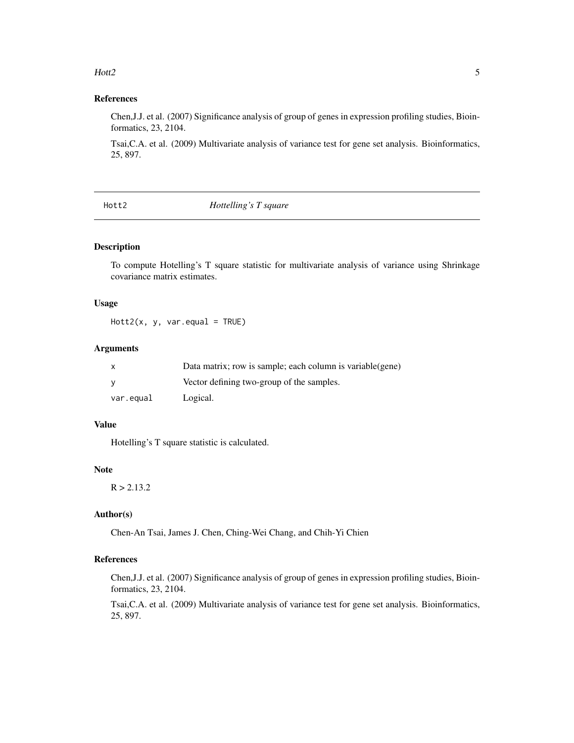#### <span id="page-4-0"></span> $Hot2$  5

#### References

Chen,J.J. et al. (2007) Significance analysis of group of genes in expression profiling studies, Bioinformatics, 23, 2104.

Tsai,C.A. et al. (2009) Multivariate analysis of variance test for gene set analysis. Bioinformatics, 25, 897.

Hott2 *Hottelling's T square*

#### **Description**

To compute Hotelling's T square statistic for multivariate analysis of variance using Shrinkage covariance matrix estimates.

#### Usage

 $Hott2(x, y, var.equals = TRUE)$ 

#### Arguments

|           | Data matrix; row is sample; each column is variable (gene) |
|-----------|------------------------------------------------------------|
|           | Vector defining two-group of the samples.                  |
| var.equal | Logical.                                                   |

#### Value

Hotelling's T square statistic is calculated.

#### Note

 $R > 2.13.2$ 

#### Author(s)

Chen-An Tsai, James J. Chen, Ching-Wei Chang, and Chih-Yi Chien

#### References

Chen,J.J. et al. (2007) Significance analysis of group of genes in expression profiling studies, Bioinformatics, 23, 2104.

Tsai,C.A. et al. (2009) Multivariate analysis of variance test for gene set analysis. Bioinformatics, 25, 897.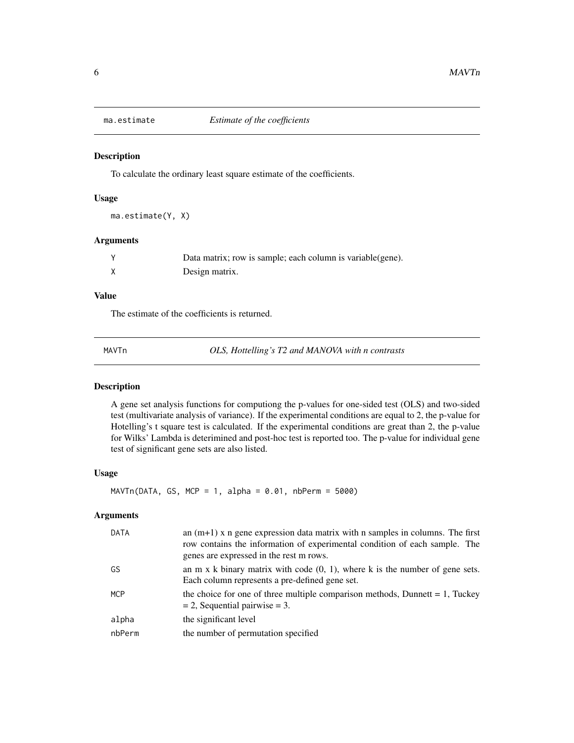<span id="page-5-0"></span>

#### Description

To calculate the ordinary least square estimate of the coefficients.

#### Usage

ma.estimate(Y, X)

#### Arguments

| Data matrix; row is sample; each column is variable(gene). |
|------------------------------------------------------------|
| Design matrix.                                             |

#### Value

The estimate of the coefficients is returned.

MAVTn *OLS, Hottelling's T2 and MANOVA with n contrasts*

#### Description

A gene set analysis functions for computiong the p-values for one-sided test (OLS) and two-sided test (multivariate analysis of variance). If the experimental conditions are equal to 2, the p-value for Hotelling's t square test is calculated. If the experimental conditions are great than 2, the p-value for Wilks' Lambda is deterimined and post-hoc test is reported too. The p-value for individual gene test of significant gene sets are also listed.

#### Usage

 $MAVTn(DATA, GS, MCP = 1, alpha = 0.01, nbPerm = 5000)$ 

#### Arguments

| DATA   | an $(m+1)$ x n gene expression data matrix with n samples in columns. The first<br>row contains the information of experimental condition of each sample. The<br>genes are expressed in the rest m rows. |
|--------|----------------------------------------------------------------------------------------------------------------------------------------------------------------------------------------------------------|
| GS     | an m x k binary matrix with code $(0, 1)$ , where k is the number of gene sets.<br>Each column represents a pre-defined gene set.                                                                        |
| MCP    | the choice for one of three multiple comparison methods, Dunnett $= 1$ , Tuckey<br>$= 2$ , Sequential pairwise $= 3$ .                                                                                   |
| alpha  | the significant level                                                                                                                                                                                    |
| nbPerm | the number of permutation specified                                                                                                                                                                      |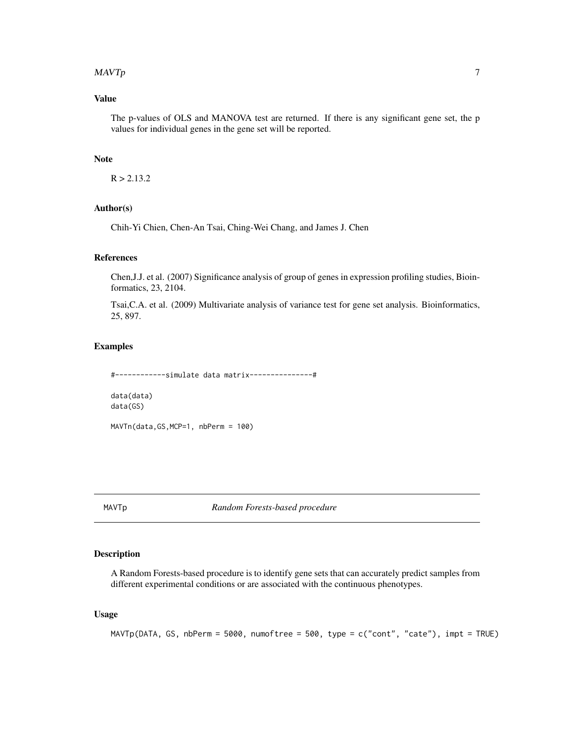#### <span id="page-6-0"></span> $MAVTp$  , and the contract of the contract of the contract of the contract of the contract of the contract of the contract of the contract of the contract of the contract of the contract of the contract of the contract of t

#### Value

The p-values of OLS and MANOVA test are returned. If there is any significant gene set, the p values for individual genes in the gene set will be reported.

#### **Note**

 $R > 2.13.2$ 

#### Author(s)

Chih-Yi Chien, Chen-An Tsai, Ching-Wei Chang, and James J. Chen

#### References

Chen,J.J. et al. (2007) Significance analysis of group of genes in expression profiling studies, Bioinformatics, 23, 2104.

Tsai,C.A. et al. (2009) Multivariate analysis of variance test for gene set analysis. Bioinformatics, 25, 897.

#### Examples

#------------simulate data matrix---------------# data(data) data(GS)

MAVTn(data,GS,MCP=1, nbPerm = 100)

MAVTp *Random Forests-based procedure*

#### Description

A Random Forests-based procedure is to identify gene sets that can accurately predict samples from different experimental conditions or are associated with the continuous phenotypes.

#### Usage

MAVTp(DATA, GS, nbPerm = 5000, numoftree = 500, type = c("cont", "cate"), impt = TRUE)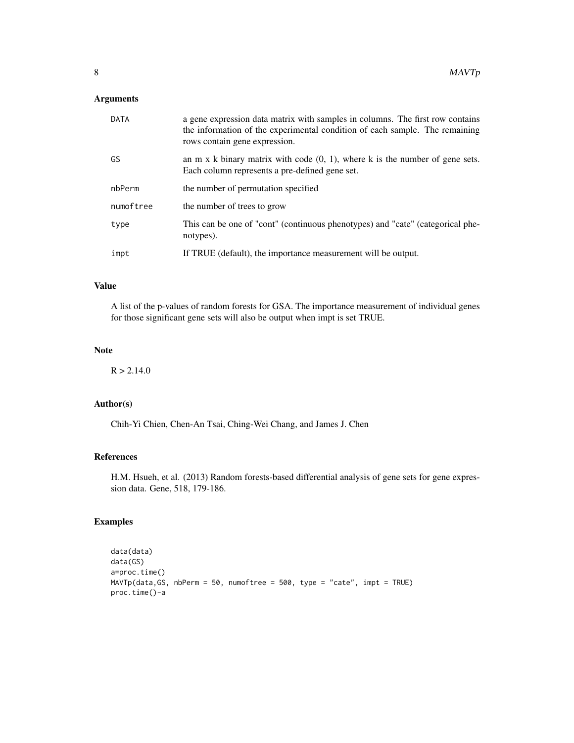#### Arguments

| DATA      | a gene expression data matrix with samples in columns. The first row contains<br>the information of the experimental condition of each sample. The remaining<br>rows contain gene expression. |
|-----------|-----------------------------------------------------------------------------------------------------------------------------------------------------------------------------------------------|
| GS        | an $m \times k$ binary matrix with code $(0, 1)$ , where k is the number of gene sets.<br>Each column represents a pre-defined gene set.                                                      |
| nbPerm    | the number of permutation specified                                                                                                                                                           |
| numoftree | the number of trees to grow                                                                                                                                                                   |
| type      | This can be one of "cont" (continuous phenotypes) and "cate" (categorical phe-<br>notypes).                                                                                                   |
| impt      | If TRUE (default), the importance measurement will be output.                                                                                                                                 |

#### Value

A list of the p-values of random forests for GSA. The importance measurement of individual genes for those significant gene sets will also be output when impt is set TRUE.

#### Note

 $R > 2.14.0$ 

#### Author(s)

Chih-Yi Chien, Chen-An Tsai, Ching-Wei Chang, and James J. Chen

#### References

H.M. Hsueh, et al. (2013) Random forests-based differential analysis of gene sets for gene expression data. Gene, 518, 179-186.

#### Examples

```
data(data)
data(GS)
a=proc.time()
MAVTp(data,GS, nbPerm = 50, numoftree = 500, type = "cate", impt = TRUE)
proc.time()-a
```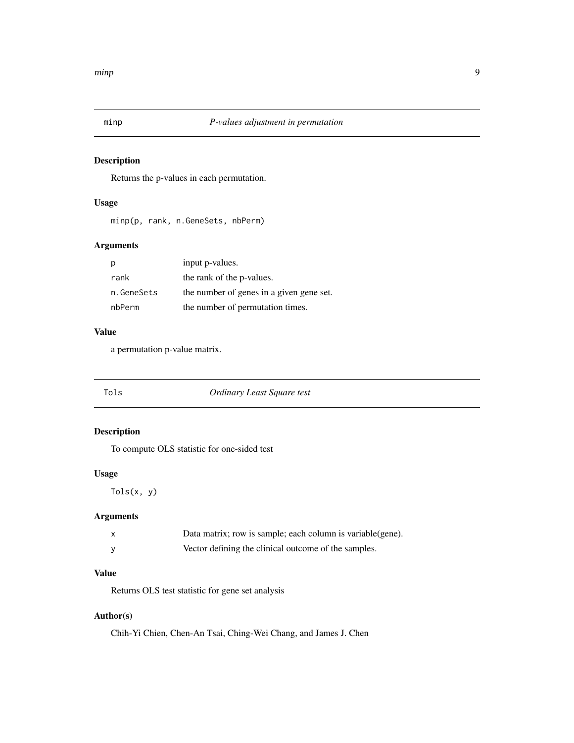<span id="page-8-0"></span>

#### Description

Returns the p-values in each permutation.

#### Usage

minp(p, rank, n.GeneSets, nbPerm)

#### Arguments

|            | input p-values.                          |
|------------|------------------------------------------|
| rank       | the rank of the p-values.                |
| n.GeneSets | the number of genes in a given gene set. |
| nbPerm     | the number of permutation times.         |

#### Value

a permutation p-value matrix.

| Tols | Ordinary Least Square test |
|------|----------------------------|
|      |                            |

#### Description

To compute OLS statistic for one-sided test

#### Usage

Tols(x, y)

#### Arguments

| $\mathsf{x}$ | Data matrix; row is sample; each column is variable (gene). |
|--------------|-------------------------------------------------------------|
|              | Vector defining the clinical outcome of the samples.        |

#### Value

Returns OLS test statistic for gene set analysis

#### Author(s)

Chih-Yi Chien, Chen-An Tsai, Ching-Wei Chang, and James J. Chen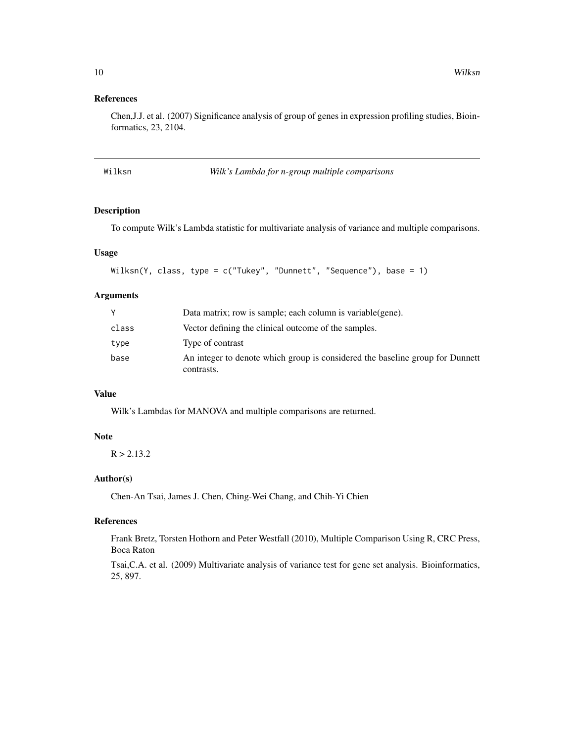#### <span id="page-9-0"></span>References

Chen,J.J. et al. (2007) Significance analysis of group of genes in expression profiling studies, Bioinformatics, 23, 2104.

| Λ | ٦ |  |    |
|---|---|--|----|
|   |   |  | э. |

*Wilk's Lambda for n-group multiple comparisons* 

#### Description

To compute Wilk's Lambda statistic for multivariate analysis of variance and multiple comparisons.

#### Usage

```
Wilksn(Y, class, type = c("Tukey", "Dunnett", "Sequence"), base = 1)
```
#### Arguments

|       | Data matrix; row is sample; each column is variable (gene).                                 |
|-------|---------------------------------------------------------------------------------------------|
| class | Vector defining the clinical outcome of the samples.                                        |
| type  | Type of contrast                                                                            |
| base  | An integer to denote which group is considered the baseline group for Dunnett<br>contrasts. |

#### Value

Wilk's Lambdas for MANOVA and multiple comparisons are returned.

#### Note

 $R > 2.13.2$ 

#### Author(s)

Chen-An Tsai, James J. Chen, Ching-Wei Chang, and Chih-Yi Chien

#### References

Frank Bretz, Torsten Hothorn and Peter Westfall (2010), Multiple Comparison Using R, CRC Press, Boca Raton

Tsai,C.A. et al. (2009) Multivariate analysis of variance test for gene set analysis. Bioinformatics, 25, 897.